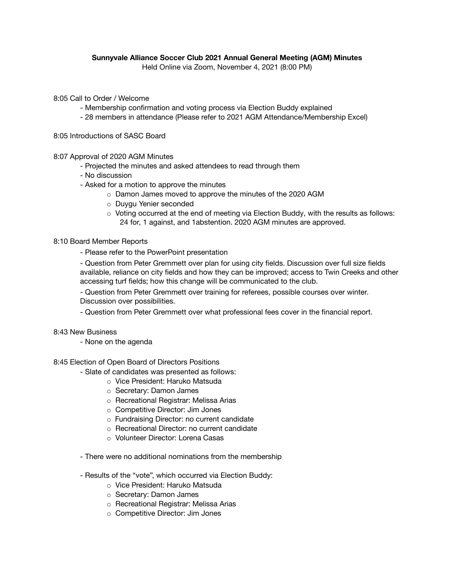## **Sunnyvale Alliance Soccer Club 2021 Annual General Meeting (AGM) Minutes**

Held Online via Zoom, November 4, 2021 (8:00 PM)

8:05 Call to Order / Welcome

- Membership confirmation and voting process via Election Buddy explained
- 28 members in attendance (Please refer to 2021 AGM Attendance/Membership Excel)

8:05 Introductions of SASC Board

8:07 Approval of 2020 AGM Minutes

- Projected the minutes and asked attendees to read through them
- No discussion
- Asked for a motion to approve the minutes
	- o Damon James moved to approve the minutes of the 2020 AGM
	- o Duygu Yenier seconded
	- $\circ$  Voting occurred at the end of meeting via Election Buddy, with the results as follows: 24 for, 1 against, and 1abstention. 2020 AGM minutes are approved.

## 8:10 Board Member Reports

- Please refer to the PowerPoint presentation

- Question from Peter Gremmett over plan for using city fields. Discussion over full size fields available, reliance on city fields and how they can be improved; access to Twin Creeks and other accessing turf fields; how this change will be communicated to the club.

- Question from Peter Gremmett over training for referees, possible courses over winter. Discussion over possibilities.

- Question from Peter Gremmett over what professional fees cover in the financial report.

## 8:43 New Business

- None on the agenda

8:45 Election of Open Board of Directors Positions

- Slate of candidates was presented as follows:
	- o Vice President: Haruko Matsuda
	- o Secretary: Damon James
	- o Recreational Registrar: Melissa Arias
	- o Competitive Director: Jim Jones
	- o Fundraising Director: no current candidate
	- o Recreational Director: no current candidate
	- o Volunteer Director: Lorena Casas
- There were no additional nominations from the membership
- Results of the "vote", which occurred via Election Buddy:
	- o Vice President: Haruko Matsuda
	- o Secretary: Damon James
	- o Recreational Registrar: Melissa Arias
	- o Competitive Director: Jim Jones